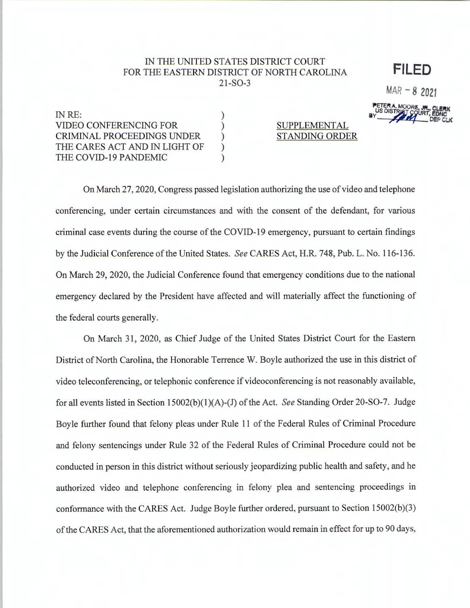## IN THE UNITED STATES DISTRICT COURT FOR THE EASTERN DISTRICT OF NORTH CAROLINA  $21-SO-3$

 $\mathcal{E}$  $\mathcal{E}$ 

 $\mathcal{L}$ 

 $\mathcal{E}$ 

 $\lambda$ 

FILED

 $MAR - 82021$ 

IN RE: VIDEO CONFERENCING FOR **CRIMINAL PROCEEDINGS UNDER** THE CARES ACT AND IN LIGHT OF THE COVID-19 PANDEMIC

SUPPLEMENTAL **STANDING ORDER** 

On March 27, 2020, Congress passed legislation authorizing the use of video and telephone conferencing, under certain circumstances and with the consent of the defendant, for various criminal case events during the course of the COVID-19 emergency, pursuant to certain findings by the Judicial Conference of the United States. See CARES Act, H.R. 748, Pub. L. No. 116-136. On March 29, 2020, the Judicial Conference found that emergency conditions due to the national emergency declared by the President have affected and will materially affect the functioning of the federal courts generally.

On March 31, 2020, as Chief Judge of the United States District Court for the Eastern District of North Carolina, the Honorable Terrence W. Boyle authorized the use in this district of video teleconferencing, or telephonic conference if videoconferencing is not reasonably available, for all events listed in Section  $15002(b)(1)(A)$ -(J) of the Act. See Standing Order 20-SO-7. Judge Boyle further found that felony pleas under Rule 11 of the Federal Rules of Criminal Procedure and felony sentencings under Rule 32 of the Federal Rules of Criminal Procedure could not be conducted in person in this district without seriously jeopardizing public health and safety, and he authorized video and telephone conferencing in felony plea and sentencing proceedings in conformance with the CARES Act. Judge Boyle further ordered, pursuant to Section 15002(b)(3) of the CARES Act, that the aforementioned authorization would remain in effect for up to 90 days,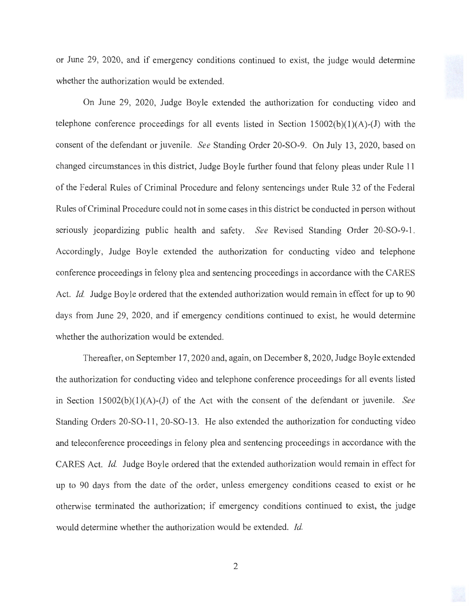or June 29, 2020, and if emergency conditions continued to exist, the judge would determine whether the authorization would be extended.

On June 29, 2020, Judge Boyle extended the authorization for conducting video and telephone conference proceedings for all events listed in Section  $15002(b)(1)(A)-(J)$  with the consent of the defendant or juvenile. *See* Standing Order 20-SO-9. On July 13, 2020, based on changed circumstances in this district, Judge Boyle further found that felony pleas under Rule 11 of the Federal Rules of Criminal Procedure and felony sentencings under Rule 32 of the Federal Rules of Criminal Procedure could not in some cases in this district be conducted in person without seriously jeopardizing public health and safety. *See* Revised Standing Order 20-SO-9-1. Accordingly, Judge Boyle extended the authorization for conducting video and telephone conference proceedings in felony plea and sentencing proceedings in accordance with the CARES Act. *Id.* Judge Boyle ordered that the extended authorization would remain in effect for up to 90 days from June 29, 2020, and if emergency conditions continued to exist, he would determine whether the authorization would be extended.

Thereafter, on September 17, 2020 and, again, on December 8, 2020, Judge Boyle extended the authorization for conducting video and telephone conference proceedings for all events listed in Section 15002(b)(l)(A)-(J) of the Act with the consent of the defendant or juvenile. *See*  Standing Orders 20-SO-11, 20-SO-13. He also extended the authorization for conducting video and teleconference proceedings in felony plea and sentencing proceedings in accordance with the CARES Act. *Id.* Judge Boyle ordered that the extended authorization would remain in effect for up to 90 days from the date of the order, unless emergency conditions ceased to exist or he otherwise terminated the authorization; if emergency conditions continued to exist, the judge would determine whether the authorization would be extended. *Id.*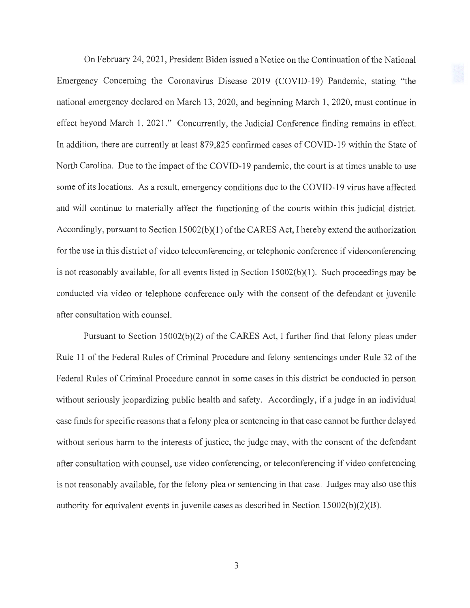On February 24, 2021 , President Biden issued a Notice on the Continuation of the National Emergency Concerning the Coronavirus Disease 2019 (COVID-19) Pandemic, stating "the national emergency declared on March 13, 2020, and beginning March 1, 2020, must continue in effect beyond March 1, 2021." Concurrently, the Judicial Conference finding remains in effect. In addition, there are currently at least 879,825 confirmed cases of COVID-19 within the State of North Carolina. Due to the impact of the COVID-19 pandemic, the court is at times unable to use some of its locations. As a result, emergency conditions due to the COVID-19 virus have affected and will continue to materially affect the functioning of the courts within this judicial district. Accordingly, pursuant to Section 15002(b)(1) of the CARES Act, I hereby extend the authorization for the use in this district of video teleconferencing, or telephonic conference if videoconferencing is not reasonably available, for all events listed in Section  $15002(b)(1)$ . Such proceedings may be conducted via video or telephone conference only with the consent of the defendant or juvenile after consultation with counsel.

Pursuant to Section  $15002(b)(2)$  of the CARES Act, I further find that felony pleas under Rule 11 of the Federal Rules of Criminal Procedure and felony sentencings under Rule 32 of the Federal Rules of Criminal Procedure cannot in some cases in this district be conducted in person without seriously jeopardizing public health and safety. Accordingly, if a judge in an individual case finds for specific reasons that a felony plea or sentencing in that case cannot be further delayed without serious harm to the interests of justice, the judge may, with the consent of the defendant after consultation with counsel, use video conferencing, or teleconferencing if video conferencing is not reasonably available, for the felony plea or sentencing in that case. Judges may also use this authority for equivalent events in juvenile cases as described in Section  $15002(b)(2)(B)$ .